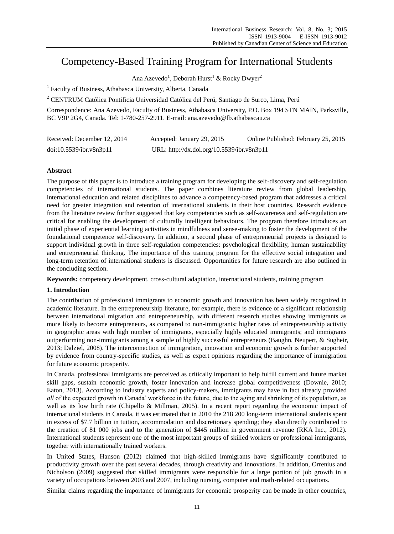# Competency-Based Training Program for International Students

Ana Azevedo<sup>1</sup>, Deborah Hurst<sup>1</sup> & Rocky Dwyer<sup>2</sup>

<sup>1</sup> Faculty of Business, Athabasca University, Alberta, Canada

<sup>2</sup> CENTRUM Católica Pontificia Universidad Católica del Perú, Santiago de Surco, Lima, Perú

Correspondence: Ana Azevedo, Faculty of Business, Athabasca University, P.O. Box 194 STN MAIN, Parksville, BC V9P 2G4, Canada. Tel: 1-780-257-2911. E-mail: [ana.azevedo@fb.athabascau.ca](mailto:ana.azevedo@fb.athabascau.ca)

| Received: December 12, 2014 | Accepted: January 29, 2015                 | Online Published: February 25, 2015 |
|-----------------------------|--------------------------------------------|-------------------------------------|
| doi:10.5539/ibr.v8n3p11     | URL: http://dx.doi.org/10.5539/ibr.v8n3p11 |                                     |

# **Abstract**

The purpose of this paper is to introduce a training program for developing the self-discovery and self-regulation competencies of international students. The paper combines literature review from global leadership, international education and related disciplines to advance a competency-based program that addresses a critical need for greater integration and retention of international students in their host countries. Research evidence from the literature review further suggested that key competencies such as self-awareness and self-regulation are critical for enabling the development of culturally intelligent behaviours. The program therefore introduces an initial phase of experiential learning activities in mindfulness and sense-making to foster the development of the foundational competence self-discovery. In addition, a second phase of entrepreneurial projects is designed to support individual growth in three self-regulation competencies: psychological flexibility, human sustainability and entrepreneurial thinking. The importance of this training program for the effective social integration and long-term retention of international students is discussed. Opportunities for future research are also outlined in the concluding section.

**Keywords:** competency development, cross-cultural adaptation, international students, training program

# **1. Introduction**

The contribution of professional immigrants to economic growth and innovation has been widely recognized in academic literature. In the entrepreneurship literature, for example, there is evidence of a significant relationship between international migration and entrepreneurship, with different research studies showing immigrants as more likely to become entrepreneurs, as compared to non-immigrants; higher rates of entrepreneurship activity in geographic areas with high number of immigrants, especially highly educated immigrants; and immigrants outperforming non-immigrants among a sample of highly successful entrepreneurs (Baughn, Neupert, & Sugheir, 2013; Dalziel, 2008). The interconnection of immigration, innovation and economic growth is further supported by evidence from country-specific studies, as well as expert opinions regarding the importance of immigration for future economic prosperity.

In Canada, professional immigrants are perceived as critically important to help fulfill current and future market skill gaps, sustain economic growth, foster innovation and increase global competitiveness (Downie, 2010; Eaton, 2013). According to industry experts and policy-makers, immigrants may have in fact already provided *all* of the expected growth in Canada' workforce in the future, due to the aging and shrinking of its population, as well as its low birth rate (Chipello & Millman, 2005). In a recent report regarding the economic impact of international students in Canada, it was estimated that in 2010 the 218 200 long-term international students spent in excess of \$7.7 billion in tuition, accommodation and discretionary spending; they also directly contributed to the creation of 81 000 jobs and to the generation of \$445 million in government revenue (RKA Inc., 2012). International students represent one of the most important groups of skilled workers or professional immigrants, together with internationally trained workers.

In United States, Hanson (2012) claimed that high-skilled immigrants have significantly contributed to productivity growth over the past several decades, through creativity and innovations. In addition, Orrenius and Nicholson (2009) suggested that skilled immigrants were responsible for a large portion of job growth in a variety of occupations between 2003 and 2007, including nursing, computer and math-related occupations.

Similar claims regarding the importance of immigrants for economic prosperity can be made in other countries,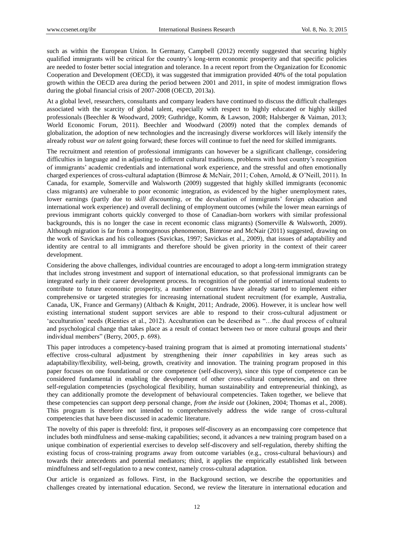such as within the European Union. In Germany, Campbell (2012) recently suggested that securing highly qualified immigrants will be critical for the country's long-term economic prosperity and that specific policies are needed to foster better social integration and tolerance. In a recent report from the Organization for Economic Cooperation and Development (OECD), it was suggested that immigration provided 40% of the total population growth within the OECD area during the period between 2001 and 2011, in spite of modest immigration flows during the global financial crisis of 2007-2008 (OECD, 2013a).

At a global level, researchers, consultants and company leaders have continued to discuss the difficult challenges associated with the scarcity of global talent, especially with respect to highly educated or highly skilled professionals (Beechler & Woodward, 2009; Guthridge, Komm, & Lawson, 2008; Halsberger & Vaiman, 2013; World Economic Forum, 2011). Beechler and Woodward (2009) noted that the complex demands of globalization, the adoption of new technologies and the increasingly diverse workforces will likely intensify the already robust *war on talent* going forward; these forces will continue to fuel the need for skilled immigrants.

The recruitment and retention of professional immigrants can however be a significant challenge, considering difficulties in language and in adjusting to different cultural traditions, problems with host country's recognition of immigrants' academic credentials and international work experience, and the stressful and often emotionally charged experiences of cross-cultural adaptation (Bimrose & McNair, 2011; Cohen, Arnold, & O'Neill, 2011). In Canada, for example, Somerville and Walsworth (2009) suggested that highly skilled immigrants (economic class migrants) are vulnerable to poor economic integration, as evidenced by the higher unemployment rates, lower earnings (partly due to *skill discounting*, or the devaluation of immigrants' foreign education and international work experience) and overall declining of employment outcomes (while the lower mean earnings of previous immigrant cohorts quickly converged to those of Canadian-born workers with similar professional backgrounds, this is no longer the case in recent economic class migrants) (Somerville & Walsworth, 2009). Although migration is far from a homogenous phenomenon, Bimrose and McNair (2011) suggested, drawing on the work of Savickas and his colleagues (Savickas, 1997; Savickas et al., 2009), that issues of adaptability and identity are central to all immigrants and therefore should be given priority in the context of their career development.

Considering the above challenges, individual countries are encouraged to adopt a long-term immigration strategy that includes strong investment and support of international education, so that professional immigrants can be integrated early in their career development process. In recognition of the potential of international students to contribute to future economic prosperity, a number of countries have already started to implement either comprehensive or targeted strategies for increasing international student recruitment (for example, Australia, Canada, UK, France and Germany) (Altbach & Knight, 2011; Andrade, 2006). However, it is unclear how well existing international student support services are able to respond to their cross-cultural adjustment or ‗acculturation' needs (Rienties et al., 2012). Acculturation can be described as ―…the dual process of cultural and psychological change that takes place as a result of contact between two or more cultural groups and their individual members" (Berry, 2005, p. 698).

This paper introduces a competency-based training program that is aimed at promoting international students' effective cross-cultural adjustment by strengthening their *inner capabilities* in key areas such as adaptability/flexibility, well-being, growth, creativity and innovation. The training program proposed in this paper focuses on one foundational or core competence (self-discovery), since this type of competence can be considered fundamental in enabling the development of other cross-cultural competencies, and on three self-regulation competencies (psychological flexibility, human sustainability and entrepreneurial thinking), as they can additionally promote the development of behavioural competencies. Taken together, we believe that these competencies can support deep personal change, *from the inside out* (Jokinen, 2004; Thomas et al., 2008). This program is therefore not intended to comprehensively address the wide range of cross-cultural competencies that have been discussed in academic literature.

The novelty of this paper is threefold: first, it proposes self-discovery as an encompassing core competence that includes both mindfulness and sense-making capabilities; second, it advances a new training program based on a unique combination of experiential exercises to develop self-discovery and self-regulation, thereby shifting the existing focus of cross-training programs away from outcome variables (e.g., cross-cultural behaviours) and towards their antecedents and potential mediators; third, it applies the empirically established link between mindfulness and self-regulation to a new context, namely cross-cultural adaptation.

Our article is organized as follows. First, in the Background section, we describe the opportunities and challenges created by international education. Second, we review the literature in international education and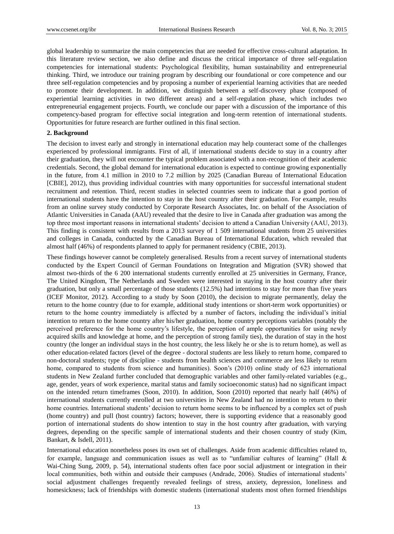global leadership to summarize the main competencies that are needed for effective cross-cultural adaptation. In this literature review section, we also define and discuss the critical importance of three self-regulation competencies for international students: Psychological flexibility, human sustainability and entrepreneurial thinking. Third, we introduce our training program by describing our foundational or core competence and our three self-regulation competencies and by proposing a number of experiential learning activities that are needed to promote their development. In addition, we distinguish between a self-discovery phase (composed of experiential learning activities in two different areas) and a self-regulation phase, which includes two entrepreneurial engagement projects. Fourth, we conclude our paper with a discussion of the importance of this competency-based program for effective social integration and long-term retention of international students. Opportunities for future research are further outlined in this final section.

#### **2. Background**

The decision to invest early and strongly in international education may help counteract some of the challenges experienced by professional immigrants. First of all, if international students decide to stay in a country after their graduation, they will not encounter the typical problem associated with a non-recognition of their academic credentials. Second, the global demand for international education is expected to continue growing exponentially in the future, from 4.1 million in 2010 to 7.2 million by 2025 (Canadian Bureau of International Education [CBIE], 2012), thus providing individual countries with many opportunities for successful international student recruitment and retention. Third, recent studies in selected countries seem to indicate that a good portion of international students have the intention to stay in the host country after their graduation. For example, results from an online survey study conducted by Corporate Research Associates, Inc. on behalf of the Association of Atlantic Universities in Canada (AAU) revealed that the desire to live in Canada after graduation was among the top three most important reasons in international students' decision to attend a Canadian University (AAU, 2013). This finding is consistent with results from a 2013 survey of 1 509 international students from 25 universities and colleges in Canada, conducted by the Canadian Bureau of International Education, which revealed that almost half (46%) of respondents planned to apply for permanent residency (CBIE, 2013).

These findings however cannot be completely generalised. Results from a recent survey of international students conducted by the Expert Council of German Foundations on Integration and Migration (SVR) showed that almost two-thirds of the 6 200 international students currently enrolled at 25 universities in Germany, France, The United Kingdom, The Netherlands and Sweden were interested in staying in the host country after their graduation, but only a small percentage of those students (12.5%) had intentions to stay for more than five years (ICEF Monitor, 2012). According to a study by Soon (2010), the decision to migrate permanently, delay the return to the home country (due to for example, additional study intentions or short-term work opportunities) or return to the home country immediately is affected by a number of factors, including the individual's initial intention to return to the home country after his/her graduation, home country perceptions variables (notably the perceived preference for the home country's lifestyle, the perception of ample opportunities for using newly acquired skills and knowledge at home, and the perception of strong family ties), the duration of stay in the host country (the longer an individual stays in the host country, the less likely he or she is to return home), as well as other education-related factors (level of the degree - doctoral students are less likely to return home, compared to non-doctoral students; type of discipline - students from health sciences and commerce are less likely to return home, compared to students from science and humanities). Soon's (2010) online study of 623 international students in New Zealand further concluded that demographic variables and other family-related variables (e.g., age, gender, years of work experience, marital status and family socioeconomic status) had no significant impact on the intended return timeframes (Soon, 2010). In addition, Soon (2010) reported that nearly half (46%) of international students currently enrolled at two universities in New Zealand had no intention to return to their home countries. International students' decision to return home seems to be influenced by a complex set of push (home country) and pull (host country) factors; however, there is supporting evidence that a reasonably good portion of international students do show intention to stay in the host country after graduation, with varying degrees, depending on the specific sample of international students and their chosen country of study (Kim, Bankart, & Isdell, 2011).

International education nonetheless poses its own set of challenges. Aside from academic difficulties related to, for example, language and communication issues as well as to "unfamiliar cultures of learning" (Hall  $\&$ Wai-Ching Sung, 2009, p. 54), international students often face poor social adjustment or integration in their local communities, both within and outside their campuses (Andrade, 2006). Studies of international students' social adjustment challenges frequently revealed feelings of stress, anxiety, depression, loneliness and homesickness; lack of friendships with domestic students (international students most often formed friendships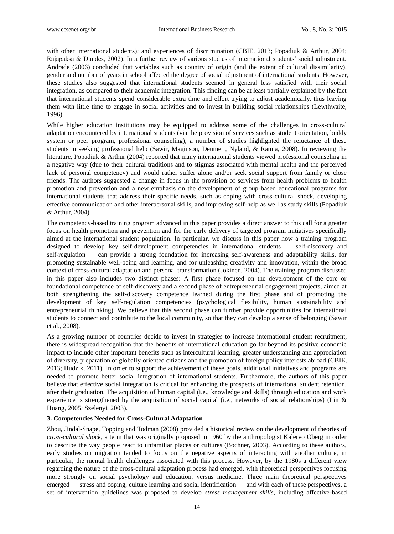with other international students); and experiences of discrimination (CBIE, 2013; Popadiuk & Arthur, 2004; Rajapaksa & Dundes, 2002). In a further review of various studies of international students' social adjustment, Andrade (2006) concluded that variables such as country of origin (and the extent of cultural dissimilarity), gender and number of years in school affected the degree of social adjustment of international students. However, these studies also suggested that international students seemed in general less satisfied with their social integration, as compared to their academic integration. This finding can be at least partially explained by the fact that international students spend considerable extra time and effort trying to adjust academically, thus leaving them with little time to engage in social activities and to invest in building social relationships (Lewthwaite, 1996).

While higher education institutions may be equipped to address some of the challenges in cross-cultural adaptation encountered by international students (via the provision of services such as student orientation, buddy system or peer program, professional counseling), a number of studies highlighted the reluctance of these students in seeking professional help (Sawir, Maginson, Deumert, Nyland, & Ramia, 2008). In reviewing the literature, Popadiuk & Arthur (2004) reported that many international students viewed professional counseling in a negative way (due to their cultural traditions and to stigmas associated with mental health and the perceived lack of personal competency) and would rather suffer alone and/or seek social support from family or close friends. The authors suggested a change in focus in the provision of services from health problems to health promotion and prevention and a new emphasis on the development of group-based educational programs for international students that address their specific needs, such as coping with cross-cultural shock, developing effective communication and other interpersonal skills, and improving self-help as well as study skills (Popadiuk & Arthur, 2004).

The competency-based training program advanced in this paper provides a direct answer to this call for a greater focus on health promotion and prevention and for the early delivery of targeted program initiatives specifically aimed at the international student population. In particular, we discuss in this paper how a training program designed to develop key self-development competencies in international students — self-discovery and self-regulation — can provide a strong foundation for increasing self-awareness and adaptability skills, for promoting sustainable well-being and learning, and for unleashing creativity and innovation, within the broad context of cross-cultural adaptation and personal transformation (Jokinen, 2004). The training program discussed in this paper also includes two distinct phases: A first phase focused on the development of the core or foundational competence of self-discovery and a second phase of entrepreneurial engagement projects, aimed at both strengthening the self-discovery competence learned during the first phase and of promoting the development of key self-regulation competencies (psychological flexibility, human sustainability and entrepreneurial thinking). We believe that this second phase can further provide opportunities for international students to connect and contribute to the local community, so that they can develop a sense of belonging (Sawir et al., 2008).

As a growing number of countries decide to invest in strategies to increase international student recruitment, there is widespread recognition that the benefits of international education go far beyond its positive economic impact to include other important benefits such as intercultural learning, greater understanding and appreciation of diversity, preparation of globally-oriented citizens and the promotion of foreign policy interests abroad (CBIE, 2013; Hudzik, 2011). In order to support the achievement of these goals, additional initiatives and programs are needed to promote better social integration of international students. Furthermore, the authors of this paper believe that effective social integration is critical for enhancing the prospects of international student retention, after their graduation. The acquisition of human capital (i.e., knowledge and skills) through education and work experience is strengthened by the acquisition of social capital (i.e., networks of social relationships) (Lin & Huang, 2005; Szelenyi, 2003).

# **3. Competencies Needed for Cross-Cultural Adaptation**

Zhou, Jindal-Snape, Topping and Todman (2008) provided a historical review on the development of theories of *cross-cultural shock*, a term that was originally proposed in 1960 by the anthropologist Kalervo Oberg in order to describe the way people react to unfamiliar places or cultures (Bochner, 2003). According to these authors, early studies on migration tended to focus on the negative aspects of interacting with another culture, in particular, the mental health challenges associated with this process. However, by the 1980s a different view regarding the nature of the cross-cultural adaptation process had emerged, with theoretical perspectives focusing more strongly on social psychology and education, versus medicine. Three main theoretical perspectives emerged — stress and coping, culture learning and social identification — and with each of these perspectives, a set of intervention guidelines was proposed to develop *stress management skills,* including affective-based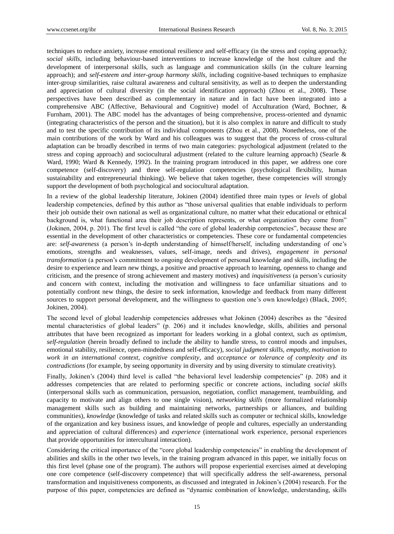techniques to reduce anxiety, increase emotional resilience and self-efficacy (in the stress and coping approach*); social skills*, including behaviour-based interventions to increase knowledge of the host culture and the development of interpersonal skills, such as language and communication skills (in the culture learning approach); and *self-esteem and inter-group harmony skills,* including cognitive-based techniques to emphasize inter-group similarities, raise cultural awareness and cultural sensitivity, as well as to deepen the understanding and appreciation of cultural diversity (in the social identification approach) (Zhou et al., 2008). These perspectives have been described as complementary in nature and in fact have been integrated into a comprehensive ABC (Affective, Behavioural and Cognitive) model of Acculturation (Ward, Bochner, & Furnham, 2001). The ABC model has the advantages of being comprehensive, process-oriented and dynamic (integrating characteristics of the person and the situation), but it is also complex in nature and difficult to study and to test the specific contribution of its individual components (Zhou et al., 2008). Nonetheless, one of the main contributions of the work by Ward and his colleagues was to suggest that the process of cross-cultural adaptation can be broadly described in terms of two main categories: psychological adjustment (related to the stress and coping approach) and sociocultural adjustment (related to the culture learning approach) (Searle & Ward, 1990; Ward & Kennedy, 1992). In the training program introduced in this paper, we address one core competence (self-discovery) and three self-regulation competencies (psychological flexibility, human sustainability and entrepreneurial thinking). We believe that taken together, these competencies will strongly support the development of both psychological and sociocultural adaptation.

In a review of the global leadership literature, Jokinen (2004) identified three main types or *levels* of global leadership competencies, defined by this author as "those universal qualities that enable individuals to perform their job outside their own national as well as organizational culture, no matter what their educational or ethnical background is, what functional area their job description represents, or what organization they come from" (Jokinen, 2004, p. 201). The first level is called "the core of global leadership competencies", because these are essential in the development of other characteristics or competencies. These core or fundamental competencies are: *self-awareness* (a person's in-depth understanding of himself/herself, including understanding of one's emotions, strengths and weaknesses, values, self-image, needs and drives), *engagement in personal transformation* (a person's commitment to ongoing development of personal knowledge and skills, including the desire to experience and learn new things, a positive and proactive approach to learning, openness to change and criticism, and the presence of strong achievement and mastery motives) and *inquisitiveness* (a person's curiosity and concern with context, including the motivation and willingness to face unfamiliar situations and to potentially confront new things, the desire to seek information, knowledge and feedback from many different sources to support personal development, and the willingness to question one's own knowledge) (Black, 2005; Jokinen, 2004).

The second level of global leadership competencies addresses what Jokinen (2004) describes as the "desired mental characteristics of global leaders" (p. 206) and it includes knowledge, skills, abilities and personal attributes that have been recognized as important for leaders working in a global context, such *as optimism, self-regulation* (herein broadly defined to include the ability to handle stress, to control moods and impulses, emotional stability, resilience, open-mindedness and self-efficacy), *social judgment skills, empathy, motivation to work in an international context, cognitive complexity*, and *acceptance or tolerance of complexity and its contradictions* (for example, by seeing opportunity in diversity and by using diversity to stimulate creativity).

Finally, Jokinen's (2004) third level is called "the behavioral level leadership competencies" (p. 208) and it addresses competencies that are related to performing specific or concrete actions, including *social skills* (interpersonal skills such as communication, persuasion, negotiation, conflict management, teambuilding, and capacity to motivate and align others to one single vision), *networking skills* (more formalized relationship management skills such as building and maintaining networks, partnerships or alliances, and building communities), *knowledge* (knowledge of tasks and related skills such as computer or technical skills, knowledge of the organization and key business issues, and knowledge of people and cultures, especially an understanding and appreciation of cultural differences) and *experience* (international work experience, personal experiences that provide opportunities for intercultural interaction).

Considering the critical importance of the "core global leadership competencies" in enabling the development of abilities and skills in the other two levels, in the training program advanced in this paper, we initially focus on this first level (phase one of the program). The authors will propose experiential exercises aimed at developing one core competence (self-discovery competence) that will specifically address the self-awareness, personal transformation and inquisitiveness components, as discussed and integrated in Jokinen's (2004) research. For the purpose of this paper, competencies are defined as "dynamic combination of knowledge, understanding, skills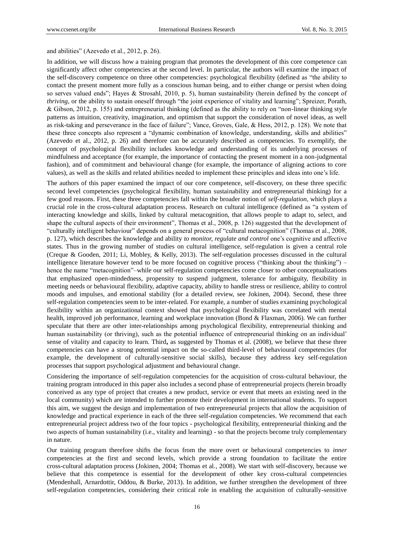### and abilities" (Azevedo et al.,  $2012$ , p.  $26$ ).

In addition, we will discuss how a training program that promotes the development of this core competence can significantly affect other competencies at the second level. In particular, the authors will examine the impact of the self-discovery competence on three other competencies: psychological flexibility (defined as "the ability to contact the present moment more fully as a conscious human being, and to either change or persist when doing so serves valued ends"; Hayes & Strosahl, 2010, p. 5), human sustainability (herein defined by the concept of *thriving*, or the ability to sustain oneself through "the joint experience of vitality and learning"; Spreizer, Porath, & Gibson,  $2012$ , p. 155) and entrepreneurial thinking (defined as the ability to rely on "non-linear thinking style patterns as intuition, creativity, imagination, and optimism that support the consideration of novel ideas, as well as risk-taking and perseverance in the face of failure"; Vance, Groves, Gale, & Hess, 2012, p. 128). We note that these three concepts also represent a "dynamic combination of knowledge, understanding, skills and abilities" (Azevedo et al., 2012, p. 26) and therefore can be accurately described as competencies. To exemplify, the concept of psychological flexibility includes knowledge and understanding of its underlying processes of mindfulness and acceptance (for example, the importance of contacting the present moment in a non-judgmental fashion), and of commitment and behavioural change (for example, the importance of aligning actions to core values), as well as the skills and related abilities needed to implement these principles and ideas into one's life.

The authors of this paper examined the impact of our core competence, self-discovery, on these three specific second level competencies (psychological flexibility, human sustainability and entrepreneurial thinking) for a few good reasons. First, these three competencies fall within the broader notion of *self-regulation*, which plays a crucial role in the cross-cultural adaptation process. Research on cultural intelligence (defined as "a system of interacting knowledge and skills, linked by cultural metacognition, that allows people to adapt to, select, and shape the cultural aspects of their environment", Thomas et al., 2008, p. 126) suggested that the development of "culturally intelligent behaviour" depends on a general process of "cultural metacognition" (Thomas et al., 2008, p. 127), which describes the knowledge and ability *to monitor, regulate and control* one's cognitive and affective states. Thus in the growing number of studies on cultural intelligence, self-regulation is given a central role (Creque & Gooden, 2011; Li, Mobley, & Kelly, 2013). The self-regulation processes discussed in the cultural intelligence literature however tend to be more focused on cognitive process ("thinking about the thinking") – hence the name "metacognition"–while our self-regulation competencies come closer to other conceptualizations that emphasized open-mindedness, propensity to suspend judgment, tolerance for ambiguity, flexibility in meeting needs or behavioural flexibility, adaptive capacity, ability to handle stress or resilience, ability to control moods and impulses, and emotional stability (for a detailed review, see Jokinen, 2004). Second, these three self-regulation competencies seem to be inter-related. For example, a number of studies examining psychological flexibility within an organizational context showed that psychological flexibility was correlated with mental health, improved job performance, learning and workplace innovation (Bond & Flaxman, 2006). We can further speculate that there are other inter-relationships among psychological flexibility, entrepreneurial thinking and human sustainability (or thriving), such as the potential influence of entrepreneurial thinking on an individual' sense of vitality and capacity to learn. Third**,** as suggested by Thomas et al. (2008), we believe that these three competencies can have a strong potential impact on the so-called third-level of behavioural competencies (for example, the development of culturally-sensitive social skills), because they address key self-regulation processes that support psychological adjustment and behavioural change.

Considering the importance of self-regulation competencies for the acquisition of cross-cultural behaviour, the training program introduced in this paper also includes a second phase of entrepreneurial projects (herein broadly conceived as any type of project that creates a new product, service or event that meets an existing need in the local community) which are intended to further promote their development in international students. To support this aim, we suggest the design and implementation of two entrepreneurial projects that allow the acquisition of knowledge and practical experience in each of the three self-regulation competencies. We recommend that each entrepreneurial project address two of the four topics - psychological flexibility, entrepreneurial thinking and the two aspects of human sustainability (i.e., vitality and learning) - so that the projects become truly complementary in nature.

Our training program therefore shifts the focus from the more overt or behavioural competencies to *inner* competencies at the first and second levels, which provide a strong foundation to facilitate the entire cross-cultural adaptation process (Jokinen, 2004; Thomas et al., 2008). We start with self-discovery, because we believe that this competence is essential for the development of other key cross-cultural competencies (Mendenhall, Arnardottir, Oddou, & Burke, 2013). In addition, we further strengthen the development of three self-regulation competencies, considering their critical role in enabling the acquisition of culturally-sensitive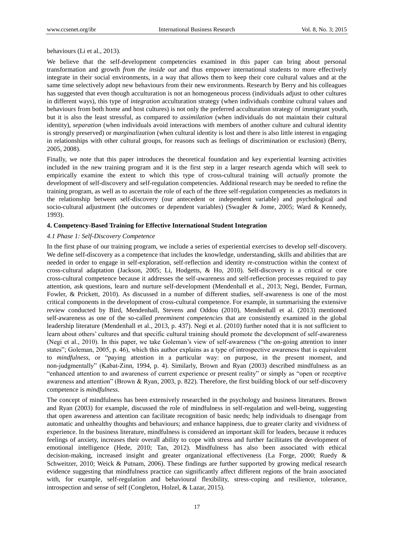behaviours (Li et al., 2013).

We believe that the self-development competencies examined in this paper can bring about personal transformation and growth *from the inside out* and thus empower international students to more effectively integrate in their social environments, in a way that allows them to keep their core cultural values and at the same time selectively adopt new behaviours from their new environments. Research by Berry and his colleagues has suggested that even though acculturation is not an homogeneous process (individuals adjust to other cultures in different ways), this type of *integration* acculturation strategy (when individuals combine cultural values and behaviours from both home and host cultures) is not only the preferred acculturation strategy of immigrant youth, but it is also the least stressful, as compared to *assimilation* (when individuals do not maintain their cultural identity), *separation* (when individuals avoid interactions with members of another culture and cultural identity is strongly preserved) or *marginalization* (when cultural identity is lost and there is also little interest in engaging in relationships with other cultural groups, for reasons such as feelings of discrimination or exclusion) (Berry, 2005, 2008).

Finally, we note that this paper introduces the theoretical foundation and key experiential learning activities included in the new training program and it is the first step in a larger research agenda which will seek to empirically examine the extent to which this type of cross-cultural training will *actually* promote the development of self-discovery and self-regulation competencies. Additional research may be needed to refine the training program, as well as to ascertain the role of each of the three self-regulation competencies as mediators in the relationship between self-discovery (our antecedent or independent variable) and psychological and socio-cultural adjustment (the outcomes or dependent variables) (Swagler & Jome, 2005; Ward & Kennedy, 1993).

## **4. Competency-Based Training for Effective International Student Integration**

#### *4.1 Phase 1: Self-Discovery Competence*

In the first phase of our training program, we include a series of experiential exercises to develop self-discovery. We define self-discovery as a competence that includes the knowledge, understanding, skills and abilities that are needed in order to engage in self-exploration, self-reflection and identity re-construction within the context of cross-cultural adaptation (Jackson, 2005; Li, Hodgetts, & Ho, 2010). Self-discovery is a critical or core cross-cultural competence because it addresses the self-awareness and self-reflection processes required to pay attention, ask questions, learn and nurture self-development (Mendenhall et al., 2013; Negi, Bender, Furman, Fowler, & Prickett, 2010). As discussed in a number of different studies, self-awareness is one of the most critical components in the development of cross-cultural competence. For example, in summarising the extensive review conducted by Bird, Mendenhall, Stevens and Oddou (2010), Mendenhall et al. (2013) mentioned self-awareness as one of the so-called *preeminent competencies* that are consistently examined in the global leadership literature (Mendenhall et al., 2013, p. 437). Negi et al. (2010) further noted that it is not sufficient to learn about others' cultures and that specific cultural training should promote the development of self-awareness (Negi et al., 2010). In this paper, we take Goleman's view of self-awareness ("the on-going attention to inner states"; Goleman, 2005, p. 46), which this author explains as a type of introspective awareness that is equivalent to *mindfulness*, or "paying attention in a particular way: on purpose, in the present moment, and non-judgmentally" (Kabat-Zinn, 1994, p. 4). Similarly, Brown and Ryan (2003) described mindfulness as an ―enhanced attention to and awareness of current experience or present reality‖ or simply as ―open or receptive awareness and attention" (Brown & Ryan, 2003, p. 822). Therefore, the first building block of our self-discovery competence is *mindfulness*.

The concept of mindfulness has been extensively researched in the psychology and business literatures. Brown and Ryan (2003) for example, discussed the role of mindfulness in self-regulation and well-being, suggesting that open awareness and attention can facilitate recognition of basic needs; help individuals to disengage from automatic and unhealthy thoughts and behaviours; and enhance happiness, due to greater clarity and vividness of experience. In the business literature, mindfulness is considered an important skill for leaders, because it reduces feelings of anxiety, increases their overall ability to cope with stress and further facilitates the development of emotional intelligence (Hede, 2010; Tan, 2012). Mindfulness has also been associated with ethical decision-making, increased insight and greater organizational effectiveness (La Forge, 2000; Ruedy & Schweitzer, 2010; Weick & Putnam, 2006). These findings are further supported by growing medical research evidence suggesting that mindfulness practice can significantly affect different regions of the brain associated with, for example, self-regulation and behavioural flexibility, stress-coping and resilience, tolerance, introspection and sense of self (Congleton, Holzel, & Lazar, 2015).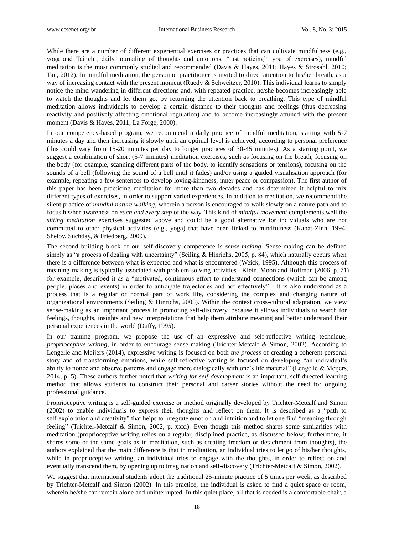While there are a number of different experiential exercises or practices that can cultivate mindfulness (e.g., yoga and Tai chi; daily journaling of thoughts and emotions; "just noticing" type of exercises), mindful meditation is the most commonly studied and recommended (Davis & Hayes, 2011; Hayes & Strosahl, 2010; Tan, 2012). In mindful meditation, the person or practitioner is invited to direct attention to his/her breath, as a way of increasing contact with the present moment (Ruedy & Schweitzer, 2010). This individual learns to simply notice the mind wandering in different directions and, with repeated practice, he/she becomes increasingly able to watch the thoughts and let them go, by returning the attention back to breathing. This type of mindful meditation allows individuals to develop a certain distance to their thoughts and feelings (thus decreasing reactivity and positively affecting emotional regulation) and to become increasingly attuned with the present moment (Davis & Hayes, 2011; La Forge, 2000).

In our competency-based program, we recommend a daily practice of mindful meditation, starting with 5-7 minutes a day and then increasing it slowly until an optimal level is achieved, according to personal preference (this could vary from 15-20 minutes per day to longer practices of 30-45 minutes). As a starting point, we suggest a combination of short (5-7 minutes) meditation exercises, such as focusing on the breath, focusing on the body (for example, scanning different parts of the body, to identify sensations or tensions), focusing on the sounds of a bell (following the sound of a bell until it fades) and/or using a guided visualisation approach (for example, repeating a few sentences to develop loving-kindness, inner peace or compassion). The first author of this paper has been practicing meditation for more than two decades and has determined it helpful to mix different types of exercises, in order to support varied experiences. In addition to meditation, we recommend the silent practice of *mindful nature walking,* wherein a person is encouraged to walk slowly on a nature path and to focus his/her awareness on *each and every step* of the way. This kind of *mindful movement* complements well the *sitting meditation* exercises suggested above and could be a good alternative for individuals who are not committed to other physical activities (e.g., yoga) that have been linked to mindfulness (Kabat-Zinn, 1994; Shelov, Suchday, & Friedberg, 2009).

The second building block of our self-discovery competence is *sense-making*. Sense-making can be defined simply as "a process of dealing with uncertainty" (Seiling & Hinrichs, 2005, p. 84), which naturally occurs when there is a difference between what is expected and what is encountered (Weick, 1995). Although this process of meaning-making is typically associated with problem-solving activities - Klein, Moon and Hoffman (2006, p. 71) for example, described it as a "motivated, continuous effort to understand connections (which can be among people, places and events) in order to anticipate trajectories and act effectively" - it is also understood as a process that is a regular or normal part of work life, considering the complex and changing nature of organizational environments (Seiling & Hinrichs, 2005). Within the context cross-cultural adaptation, we view sense-making as an important process in promoting self-discovery, because it allows individuals to search for feelings, thoughts, insights and new interpretations that help them attribute meaning and better understand their personal experiences in the world (Duffy, 1995).

In our training program, we propose the use of an expressive and self-reflective writing technique, *proprioceptive writing*, in order to encourage sense-making (Trichter-Metcalf & Simon, 2002). According to Lengelle and Meijers (2014), expressive writing is focused on both *the process* of creating a coherent personal story and of transforming emotions, while self-reflective writing is focused on developing "an individual's ability to notice and observe patterns and engage more dialogically with one's life material" (Lengelle & Meijers, 2014, p. 5). These authors further noted that *writing for self-development* is an important, self-directed learning method that allows students to construct their personal and career stories without the need for ongoing professional guidance.

Proprioceptive writing is a self-guided exercise or method originally developed by Trichter-Metcalf and Simon (2002) to enable individuals to express their thoughts and reflect on them. It is described as a "path to self-exploration and creativity" that helps to integrate emotion and intuition and to let one find "meaning through feeling" (Trichter-Metcalf & Simon, 2002, p. xxxi). Even though this method shares some similarities with meditation (proprioceptive writing relies on a regular, disciplined practice, as discussed below; furthermore, it shares some of the same goals as in meditation, such as creating freedom or detachment from thoughts), the authors explained that the main difference is that in meditation, an individual tries to let go of his/her thoughts, while in proprioceptive writing, an individual tries to engage with the thoughts, in order to reflect on and eventually transcend them, by opening up to imagination and self-discovery (Trichter-Metcalf & Simon, 2002).

We suggest that international students adopt the traditional 25-minute practice of 5 times per week, as described by Trichter-Metcalf and Simon (2002). In this practice, the individual is asked to find a quiet space or room, wherein he/she can remain alone and uninterrupted. In this quiet place, all that is needed is a comfortable chair, a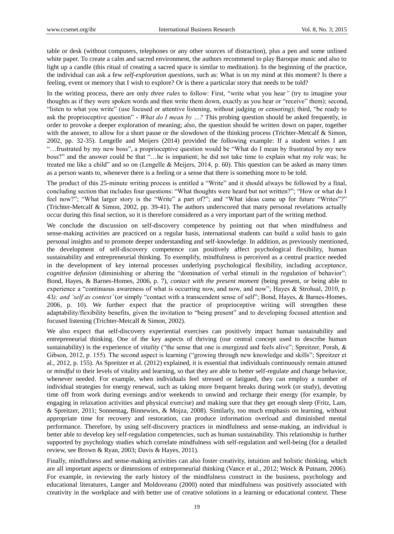table or desk (without computers, telephones or any other sources of distraction), plus a pen and some unlined white paper. To create a calm and sacred environment, the authors recommend to play Baroque music and also to light up a candle (this ritual of creating a sacred space is similar to meditation). In the beginning of the practice, the individual can ask a few *self-exploration questions*, such as: What is on my mind at this moment? Is there a feeling, event or memory that I wish to explore? Or is there a particular story that needs to be told?

In the writing process, there are only *three rules* to follow: First, "write what you hear" (try to imagine your thoughts as if they were spoken words and then write them down, exactly as you hear or "receive" them); second, "listen to what you write" (use focused or attentive listening, without judging or censoring); third, "be ready to ask the proprioceptive question" - *What do I mean by ...?* This probing question should be asked frequently, in order to provoke a deeper exploration of meaning; also, the question should be written down on paper, together with the answer, to allow for a short pause or the slowdown of the thinking process (Trichter-Metcalf & Simon, 2002, pp. 32-35). Lengelle and Meijers (2014) provided the following example: If a student writes I am "...frustrated by my new boss", a proprioceptive question would be "What do I mean by frustrated by my new boss?" and the answer could be that "...he is impatient; he did not take time to explain what my role was; he treated me like a child" and so on (Lengelle & Meijers, 2014, p. 60). This question can be asked as many times as a person wants to, whenever there is a feeling or a sense that there is something more to be told.

The product of this 25-minute writing process is entitled a "Write" and it should always be followed by a final, concluding section that includes four questions: "What thoughts were heard but not written?"; "How or what do I feel now?"; "What larger story is the "Write" a part of?"; and "What ideas came up for future "Writes"?" (Trichter-Metcalf & Simon, 2002, pp. 39-41). The authors underscored that many personal revelations actually occur during this final section, so it is therefore considered as a very important part of the writing method.

We conclude the discussion on self-discovery competence by pointing out that when mindfulness and sense-making activities are practiced on a regular basis, international students can build a solid basis to gain personal insights and to promote deeper understanding and self-knowledge. In addition, as previously mentioned, the development of self-discovery competence can positively affect psychological flexibility, human sustainability and entrepreneurial thinking. To exemplify, mindfulness is perceived as a central practice needed in the development of key internal processes underlying psychological flexibility, including *acceptance*, *cognitive defusion* (diminishing or altering the "domination of verbal stimuli in the regulation of behavior"; Bond, Hayes, & Barnes-Homes, 2006, p. 7), *contact with the present moment* (being present, or being able to experience a "continuous awareness of what is occurring now, and now, and now"; Hayes & Strohsal, 2010, p. 43); and 'self as context' (or simply "contact with a transcendent sense of self"; Bond, Hayes, & Barnes-Homes, 2006, p. 10). We further expect that the practice of proprioceptive writing will strengthen these adaptability/flexibility benefits, given the invitation to "being present" and to developing focused attention and focused listening (Trichter-Metcalf & Simon, 2002).

We also expect that self-discovery experiential exercises can positively impact human sustainability and entrepreneurial thinking. One of the key aspects of thriving (our central concept used to describe human sustainability) is the experience of *vitality* ("the sense that one is energized and feels alive"; Spreitzer, Porah, & Gibson, 2012, p. 155). The second aspect is learning ("growing through new knowledge and skills"; Spreitzer et al., 2012, p. 155). As Spreitzer et al. (2012) explained, it is essential that individuals continuously remain attuned or *mindful* to their levels of vitality and learning, so that they are able to better self-regulate and change behavior, whenever needed. For example, when individuals feel stressed or fatigued, they can employ a number of individual strategies for energy renewal, such as taking more frequent breaks during work (or study), devoting time off from work during evenings and/or weekends to unwind and recharge their energy (for example, by engaging in relaxation activities and physical exercise) and making sure that they get enough sleep (Fritz, Lam, & Spreitzer, 2011; Sonnentag, Binnewies, & Mojza, 2008). Similarly, too much emphasis on learning, without appropriate time for recovery and restoration, can produce information overload and diminished mental performance. Therefore, by using self-discovery practices in mindfulness and sense-making, an individual is better able to develop key self-regulation competencies, such as human sustainability. This relationship is further supported by psychology studies which correlate mindfulness with self-regulation and well-being (for a detailed review, see Brown & Ryan, 2003; Davis & Hayes, 2011).

Finally, mindfulness and sense-making activities can also foster creativity, intuition and holistic thinking, which are all important aspects or dimensions of entrepreneurial thinking (Vance et al., 2012; Weick & Putnam, 2006). For example, in reviewing the early history of the mindfulness construct in the business, psychology and educational literatures, Langer and Moldoveanu (2000) noted that mindfulness was positively associated with creativity in the workplace and with better use of creative solutions in a learning or educational context. These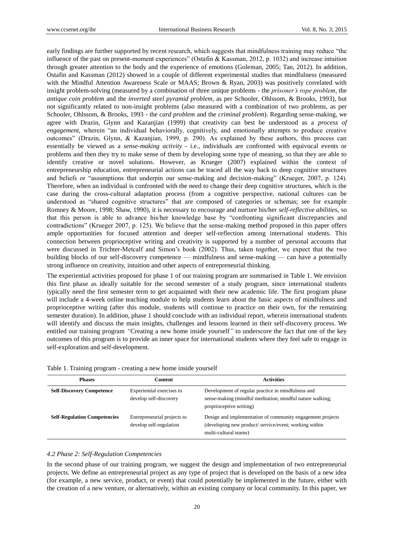early findings are further supported by recent research, which suggests that mindfulness training may reduce "the influence of the past on present-moment experiences" (Ostafin & Kassman, 2012, p. 1032) and increase intuition through greater attention to the body and the experience of emotions (Goleman, 2005; Tan, 2012). In addition, Ostafin and Kassman (2012) showed in a couple of different experimental studies that mindfulness (measured with the Mindful Attention Awareness Scale or MAAS; Brown & Ryan, 2003) was positively correlated with insight problem-solving (measured by a combination of three unique problems - the *prisoner"s rope problem*, the *antique coin problem* and the *inverted steel pyramid problem*, as per Schooler, Ohlssom, & Brooks, 1993), but not significantly related to non-insight problems (also measured with a combination of two problems, as per Schooler, Ohlssom, & Brooks, 1993 - the *card problem* and the *criminal problem*). Regarding sense-making, we agree with Drazin, Glynn and Kazanjian (1999) that creativity can best be understood as a *process of*  engagement, wherein "an individual behaviorally, cognitively, and emotionally attempts to produce creative outcomes‖ (Drazin, Glynn, & Kazanjian, 1999, p. 290). As explained by these authors, this process can essentially be viewed as a *sense-making activity* - i.e., individuals are confronted with equivocal events or problems and then they try to make sense of them by developing some type of meaning, so that they are able to identify creative or novel solutions. However, as Krueger (2007) explained within the context of entrepreneurship education, entrepreneurial actions can be traced all the way back to deep cognitive structures and beliefs or "assumptions that underpin our sense-making and decision-making" (Krueger, 2007, p. 124). Therefore, when an individual is confronted with the need to change their deep cognitive structures, which is the case during the cross-cultural adaptation process (from a cognitive perspective, national cultures can be understood as "shared cognitive structures" that are composed of categories or schemas; see for example Romney & Moore, 1998; Shaw, 1990), it is necessary to encourage and nurture his/her *self-reflective abilities,* so that this person is able to advance his/her knowledge base by "confronting significant discrepancies and contradictions‖ (Krueger 2007, p. 125). We believe that the sense-making method proposed in this paper offers ample opportunities for focused attention and deeper self-reflection among international students. This connection between proprioceptive writing and creativity is supported by a number of personal accounts that were discussed in Trichter-Metcalf and Simon's book (2002). Thus, taken together, we expect that the two building blocks of our self-discovery competence — mindfulness and sense-making — can have a potentially strong influence on creativity, intuition and other aspects of entrepreneurial thinking.

The experiential activities proposed for phase 1 of our training program are summarised in Table 1. We envision this first phase as ideally suitable for the second semester of a study program, since international students typically need the first semester term to get acquainted with their new academic life. The first program phase will include a 4-week online teaching module to help students learn about the basic aspects of mindfulness and proprioceptive writing (after this module, students will continue to practice on their own, for the remaining semester duration). In addition, phase 1 should conclude with an individual report, wherein international students will identify and discuss the main insights, challenges and lessons learned in their self-discovery process. We entitled our training program *"*Creating a new home inside yourself*"* to underscore the fact that one of the key outcomes of this program is to provide an inner space for international students where they feel safe to engage in self-exploration and self-development.

| Table 1. Training program - creating a new home inside yourself |  |  |
|-----------------------------------------------------------------|--|--|
|-----------------------------------------------------------------|--|--|

| <b>Phases</b>                       | <b>Content</b>                                         | <b>Activities</b>                                                                                                                            |
|-------------------------------------|--------------------------------------------------------|----------------------------------------------------------------------------------------------------------------------------------------------|
| <b>Self-Discovery Competence</b>    | Experiential exercises to<br>develop self-discovery    | Development of regular practice in mindfulness and<br>sense-making (mindful meditation; mindful nature walking;<br>proprioceptive writing)   |
| <b>Self-Regulation Competencies</b> | Entrepreneurial projects to<br>develop self-regulation | Design and implementation of community engagement projects<br>(developing new product/service/event; working within<br>multi-cultural teams) |

#### *4.2 Phase 2: Self-Regulation Competencies*

In the second phase of our training program, we suggest the design and implementation of two entrepreneurial projects. We define an entrepreneurial project as any type of project that is developed on the basis of a new idea (for example, a new service, product, or event) that could potentially be implemented in the future, either with the creation of a new venture, or alternatively, within an existing company or local community. In this paper, we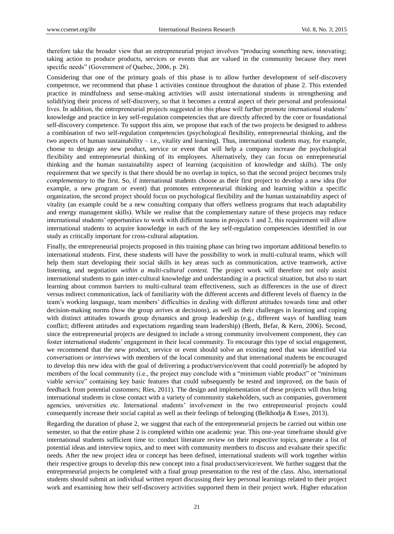therefore take the broader view that an entrepreneurial project involves "producing something new, innovating; taking action to produce products, services or events that are valued in the community because they meet specific needs" (Government of Quebec, 2006, p. 28).

Considering that one of the primary goals of this phase is to allow further development of self-discovery competence, we recommend that phase 1 activities continue throughout the duration of phase 2. This extended practice in mindfulness and sense-making activities will assist international students in strengthening and solidifying their process of self-discovery, so that it becomes a central aspect of their personal and professional lives. In addition, the entrepreneurial projects suggested in this phase will further promote international students' knowledge and practice in key self-regulation competencies that are directly affected by the core or foundational self-discovery competence. To support this aim, we propose that each of the two projects be designed to address a combination of two self-regulation competencies (psychological flexibility, entrepreneurial thinking, and the two aspects of human sustainability – i.e., vitality and learning). Thus, international students may, for example, choose to design any new product, service or event that will help a company increase the psychological flexibility and entrepreneurial thinking of its employees. Alternatively, they can focus on entrepreneurial thinking and the human sustainability aspect of learning (acquisition of knowledge and skills). The only requirement that we specify is that there should be no overlap in topics, so that the second project becomes truly *complementary* to the first. So, if international students choose as their first project to develop a new idea (for example, a new program or event) that promotes entrepreneurial thinking and learning within a specific organization, the second project should focus on psychological flexibility and the human sustainability aspect of vitality (an example could be a new consulting company that offers wellness programs that teach adaptability and energy management skills). While we realise that the complementary nature of these projects may reduce international students' opportunities to work with different teams in projects 1 and 2, this requirement will allow international students to acquire knowledge in each of the key self-regulation competencies identified in our study as critically important for cross-cultural adaptation.

Finally, the entrepreneurial projects proposed in this training phase can bring two important additional benefits to international students. First, these students will have the possibility to work in multi-cultural teams, which will help them start developing their social skills in key areas such as communication, active teamwork, active listening, and negotiation *within a multi-cultural context.* The project work will therefore not only assist international students to gain inter-cultural knowledge and understanding in a practical situation, but also to start learning about common barriers to multi-cultural team effectiveness, such as differences in the use of direct versus indirect communication, lack of familiarity with the different accents and different levels of fluency in the team's working language, team members' difficulties in dealing with different attitudes towards time and other decision-making norms (how the group arrives at decisions), as well as their challenges in learning and coping with distinct attitudes towards group dynamics and group leadership (e.g., different ways of handling team conflict; different attitudes and expectations regarding team leadership) (Breth, Befar, & Kern, 2006). Second, since the entrepreneurial projects are designed to include a strong community involvement component, they can foster international students' engagement in their local community. To encourage this type of social engagement, we recommend that the new product, service or event should solve an existing need that was identified via *conversations or interviews* with members of the local community and that international students be encouraged to develop this new idea with the goal of delivering a product/service/event that could *potentially* be adopted by members of the local community (i.e., the project may conclude with a "minimum viable product" or "minimum viable service" containing key basic features that could subsequently be tested and improved, on the basis of feedback from potential customers; Ries, 2011). The design and implementation of these projects will thus bring international students in close contact with a variety of community stakeholders, such as companies, government agencies, universities etc. International students' involvement in the two entrepreneurial projects could consequently increase their social capital as well as their feelings of belonging (Belkhodja & Esses, 2013).

Regarding the duration of phase 2, we suggest that each of the entrepreneurial projects be carried out within one semester, so that the entire phase 2 is completed within one academic year. This one-year timeframe should give international students sufficient time to: conduct literature review on their respective topics, generate a list of potential ideas and interview topics, and to meet with community members to discuss and evaluate their specific needs. After the new project idea or concept has been defined, international students will work together within their respective groups to develop this new concept into a final product/service/event. We further suggest that the entrepreneurial projects be completed with a final group presentation to the rest of the class. Also, international students should submit an individual written report discussing their key personal learnings related to their project work and examining how their self-discovery activities supported them in their project work. Higher education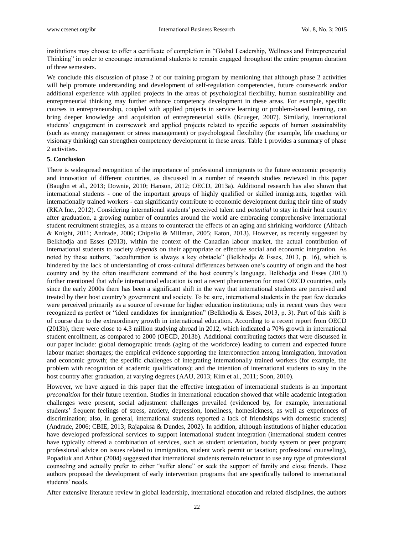institutions may choose to offer a certificate of completion in "Global Leadership, Wellness and Entrepreneurial Thinking" in order to encourage international students to remain engaged throughout the entire program duration of three semesters.

We conclude this discussion of phase 2 of our training program by mentioning that although phase 2 activities will help promote understanding and development of self-regulation competencies, future coursework and/or additional experience with applied projects in the areas of psychological flexibility, human sustainability and entrepreneurial thinking may further enhance competency development in these areas. For example, specific courses in entrepreneurship, coupled with applied projects in service learning or problem-based learning, can bring deeper knowledge and acquisition of entrepreneurial skills (Krueger, 2007). Similarly, international students' engagement in coursework and applied projects related to specific aspects of human sustainability (such as energy management or stress management) or psychological flexibility (for example, life coaching or visionary thinking) can strengthen competency development in these areas. Table 1 provides a summary of phase 2 activities.

#### **5. Conclusion**

There is widespread recognition of the importance of professional immigrants to the future economic prosperity and innovation of different countries, as discussed in a number of research studies reviewed in this paper (Baughn et al., 2013; Downie, 2010; Hanson, 2012; OECD, 2013a). Additional research has also shown that international students - one of the important groups of highly qualified or skilled immigrants, together with internationally trained workers - can significantly contribute to economic development during their time of study (RKA Inc., 2012). Considering international students' perceived talent and *potential* to stay in their host country after graduation, a growing number of countries around the world are embracing comprehensive international student recruitment strategies, as a means to counteract the effects of an aging and shrinking workforce (Altbach & Knight, 2011; Andrade, 2006; Chipello & Millman, 2005; Eaton, 2013). However, as recently suggested by Belkhodja and Esses (2013), within the context of the Canadian labour market, the actual contribution of international students to society *depends* on their appropriate or effective social and economic integration. As noted by these authors, "acculturation is always a key obstacle" (Belkhodja & Esses, 2013, p. 16), which is hindered by the lack of understanding of cross-cultural differences between one's country of origin and the host country and by the often insufficient command of the host country's language. Belkhodja and Esses (2013) further mentioned that while international education is not a recent phenomenon for most OECD countries, only since the early 2000s there has been a significant shift in the way that international students are perceived and treated by their host country's government and society. To be sure, international students in the past few decades were perceived primarily as a source of revenue for higher education institutions; only in recent years they were recognized as perfect or "ideal candidates for immigration" (Belkhodja & Esses, 2013, p. 3). Part of this shift is of course due to the extraordinary growth in international education. According to a recent report from OECD (2013b), there were close to 4.3 million studying abroad in 2012, which indicated a 70% growth in international student enrollment, as compared to 2000 (OECD, 2013b). Additional contributing factors that were discussed in our paper include: global demographic trends (aging of the workforce) leading to current and expected future labour market shortages; the empirical evidence supporting the interconnection among immigration, innovation and economic growth; the specific challenges of integrating internationally trained workers (for example, the problem with recognition of academic qualifications); and the intention of international students to stay in the host country after graduation, at varying degrees (AAU, 2013; Kim et al., 2011; Soon, 2010).

However, we have argued in this paper that the effective integration of international students is an important *precondition* for their future retention. Studies in international education showed that while academic integration challenges were present, social adjustment challenges prevailed (evidenced by, for example, international students' frequent feelings of stress, anxiety, depression, loneliness, homesickness, as well as experiences of discrimination; also, in general, international students reported a lack of friendships with domestic students) (Andrade, 2006; CBIE, 2013; Rajapaksa & Dundes, 2002). In addition, although institutions of higher education have developed professional services to support international student integration (international student centres have typically offered a combination of services, such as student orientation, buddy system or peer program; professional advice on issues related to immigration, student work permit or taxation; professional counseling), Popadiuk and Arthur (2004) suggested that international students remain reluctant to use any type of professional counseling and actually prefer to either "suffer alone" or seek the support of family and close friends. These authors proposed the development of early intervention programs that are specifically tailored to international students' needs.

After extensive literature review in global leadership, international education and related disciplines, the authors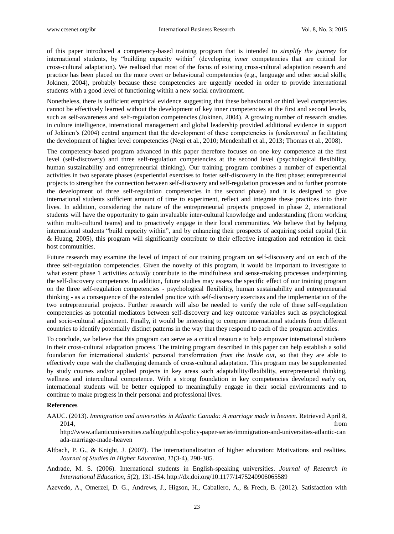of this paper introduced a competency-based training program that is intended to *simplify the journey* for international students, by "building capacity within" (developing *inner* competencies that are critical for cross-cultural adaptation). We realised that most of the focus of existing cross-cultural adaptation research and practice has been placed on the more overt or behavioural competencies (e.g., language and other social skills; Jokinen, 2004), probably because these competencies are urgently needed in order to provide international students with a good level of functioning within a new social environment.

Nonetheless, there is sufficient empirical evidence suggesting that these behavioural or third level competencies cannot be effectively learned without the development of key inner competencies at the first and second levels, such as self-awareness and self-regulation competencies (Jokinen, 2004). A growing number of research studies in culture intelligence, international management and global leadership provided additional evidence in support of Jokinen's (2004) central argument that the development of these competencies is *fundamental* in facilitating the development of higher level competencies (Negi et al., 2010; Mendenhall et al., 2013; Thomas et al., 2008).

The competency-based program advanced in this paper therefore focuses on one key competence at the first level (self-discovery) and three self-regulation competencies at the second level (psychological flexibility, human sustainability and entrepreneurial thinking). Our training program combines a number of experiential activities in two separate phases (experiential exercises to foster self-discovery in the first phase; entrepreneurial projects to strengthen the connection between self-discovery and self-regulation processes and to further promote the development of three self-regulation competencies in the second phase) and it is designed to give international students sufficient amount of time to experiment, reflect and integrate these practices into their lives. In addition, considering the nature of the entrepreneurial projects proposed in phase 2, international students will have the opportunity to gain invaluable inter-cultural knowledge and understanding (from working within multi-cultural teams) and to proactively engage in their local communities. We believe that by helping international students "build capacity within", and by enhancing their prospects of acquiring social capital (Lin & Huang, 2005), this program will significantly contribute to their effective integration and retention in their host communities.

Future research may examine the level of impact of our training program on self-discovery and on each of the three self-regulation competencies. Given the novelty of this program, it would be important to investigate to what extent phase 1 activities *actually* contribute to the mindfulness and sense-making processes underpinning the self-discovery competence. In addition, future studies may assess the specific effect of our training program on the three self-regulation competencies - psychological flexibility, human sustainability and entrepreneurial thinking - as a consequence of the extended practice with self-discovery exercises and the implementation of the two entrepreneurial projects. Further research will also be needed to verify the role of these self-regulation competencies as potential mediators between self-discovery and key outcome variables such as psychological and socio-cultural adjustment. Finally, it would be interesting to compare international students from different countries to identify potentially distinct patterns in the way that they respond to each of the program activities.

To conclude, we believe that this program can serve as a critical resource to help empower international students in their cross-cultural adaptation process. The training program described in this paper can help establish a solid foundation for international students' personal transformation *from the inside out,* so that they are able to effectively cope with the challenging demands of cross-cultural adaptation. This program may be supplemented by study courses and/or applied projects in key areas such adaptability/flexibility, entrepreneurial thinking, wellness and intercultural competence. With a strong foundation in key competencies developed early on, international students will be better equipped to meaningfully engage in their social environments and to continue to make progress in their personal and professional lives.

## **References**

AAUC. (2013). *Immigration and universities in Atlantic Canada: A marriage made in heaven. Retrieved April 8,* 2014, from

http://www.atlanticuniversities.ca/blog/public-policy-paper-series/immigration-and-universities-atlantic-can ada-marriage-made-heaven

- Altbach, P. G., & Knight, J. (2007). The internationalization of higher education: Motivations and realities. *Journal of Studies in Higher Education, 11*(3-4), 290-305.
- Andrade, M. S. (2006). International students in English-speaking universities. *Journal of Research in International Education, 5*(2), 131-154. http://dx.doi.org/10.1177/1475240906065589

Azevedo, A., Omerzel, D. G., Andrews, J., Higson, H., Caballero, A., & Frech, B. (2012). Satisfaction with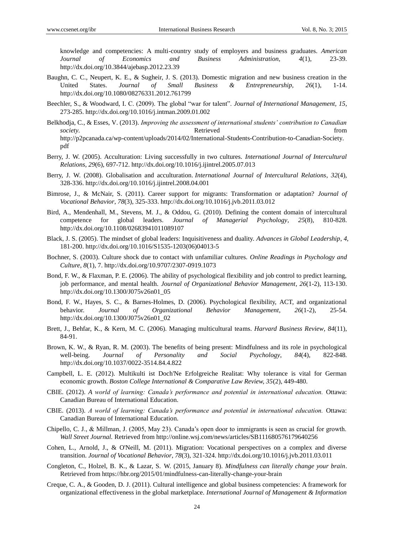knowledge and competencies: A multi-country study of employers and business graduates. *American Journal of Economics and Business Administration, 4*(1), 23-39. http://dx.doi.org/10.3844/ajebasp.2012.23.39

- Baughn, C. C., Neupert, K. E., & Sugheir, J. S. (2013). Domestic migration and new business creation in the United States. *Journal of Small Business & Entrepreneurship, 26*(1), 1-14. http://dx.doi.org/10.1080/08276331.2012.761799
- Beechler, S., & Woodward, I. C. (2009). The global "war for talent". *Journal of International Management*, 15, 273-285. http://dx.doi.org/10.1016/j.intman.2009.01.002
- Belkhodja, C., & Esses, V. (2013). *Improving the assessment of international students" contribution to Canadian society.* Retrieved **Example 2** and *Retrieved* from *Retrieved* from *Retrieved* http://p2pcanada.ca/wp-content/uploads/2014/02/International-Students-Contribution-to-Canadian-Society. pdf
- Berry, J. W. (2005). Acculturation: Living successfully in two cultures. *International Journal of Intercultural Relations*, *29*(6), 697-712. http://dx.doi.org/10.1016/j.ijintrel.2005.07.013
- Berry, J. W. (2008). Globalisation and acculturation. *International Journal of Intercultural Relations*, *32*(4), 328-336. http://dx.doi.org/10.1016/j.ijintrel.2008.04.001
- Bimrose, J., & McNair, S. (2011). Career support for migrants: Transformation or adaptation? *Journal of Vocational Behavior*, *78*(3), 325-333. http://dx.doi.org/10.1016/j.jvb.2011.03.012
- Bird, A., Mendenhall, M., Stevens, M. J., & Oddou, G. (2010). Defining the content domain of intercultural competence for global leaders. *Journal of Managerial Psychology*, *25*(8), 810-828. http://dx.doi.org/10.1108/02683941011089107
- Black, J. S. (2005). The mindset of global leaders: Inquisitiveness and duality. *Advances in Global Leadership*, *4*, 181-200. http://dx.doi.org/10.1016/S1535-1203(06)04013-5
- Bochner, S. (2003). Culture shock due to contact with unfamiliar cultures. *Online Readings in Psychology and Culture*, *8*(1), 7. http://dx.doi.org/10.9707/2307-0919.1073
- Bond, F. W., & Flaxman, P. E. (2006). The ability of psychological flexibility and job control to predict learning, job performance, and mental health. *Journal of Organizational Behavior Management*, *26*(1-2), 113-130. http://dx.doi.org/10.1300/J075v26n01\_05
- Bond, F. W., Hayes, S. C., & Barnes-Holmes, D. (2006). Psychological flexibility, ACT, and organizational behavior. *Journal of Organizational Behavior Management*, *26*(1-2), 25-54. http://dx.doi.org/10.1300/J075v26n01\_02
- Brett, J., Behfar, K., & Kern, M. C. (2006). Managing multicultural teams. *Harvard Business Review*, *84*(11), 84-91.
- Brown, K. W., & Ryan, R. M. (2003). The benefits of being present: Mindfulness and its role in psychological well-being. *Journal of Personality and Social Psychology*, *84*(4), 822-848. http://dx.doi.org/10.1037/0022-3514.84.4.822
- Campbell, L. E. (2012). Multikulti ist Doch'Ne Erfolgreiche Realitat: Why tolerance is vital for German economic growth. *Boston College International & Comparative Law Review, 35*(2), 449-480.
- CBIE. (2012). *A world of learning: Canada"s performance and potential in international education.* Ottawa: Canadian Bureau of International Education.
- CBIE. (2013). *A world of learning: Canada"s performance and potential in international education.* Ottawa: Canadian Bureau of International Education.
- Chipello, C. J., & Millman, J. (2005, May 23). Canada's open door to immigrants is seen as crucial for growth. *Wall Street Journal.* Retrieved from http://online.wsj.com/news/articles/SB111680576179640256
- Cohen, L., Arnold, J., & O'Neill, M. (2011). Migration: Vocational perspectives on a complex and diverse transition. *Journal of Vocational Behavior*, *78*(3), 321-324. http://dx.doi.org/10.1016/j.jvb.2011.03.011
- Congleton, C., Holzel, B. K., & Lazar, S. W. (2015, January 8). *Mindfulness can literally change your brain*. Retrieved from https://hbr.org/2015/01/mindfulness-can-literally-change-your-brain
- Creque, C. A., & Gooden, D. J. (2011). Cultural intelligence and global business competencies: A framework for organizational effectiveness in the global marketplace. *International Journal of Management & Information*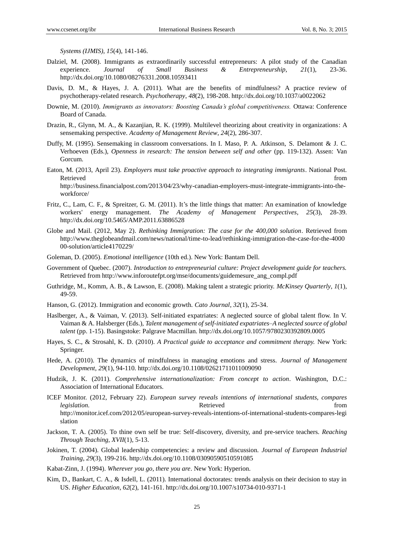*Systems (IJMIS)*, *15*(4), 141-146.

- Dalziel, M. (2008). Immigrants as extraordinarily successful entrepreneurs: A pilot study of the Canadian experience. *Journal of Small Business & Entrepreneurship*, *21*(1), 23-36. http://dx.doi.org/10.1080/08276331.2008.10593411
- Davis, D. M., & Hayes, J. A. (2011). What are the benefits of mindfulness? A practice review of psychotherapy-related research. *Psychotherapy*, *48*(2), 198-208. http://dx.doi.org/10.1037/a0022062
- Downie, M. (2010). *Immigrants as innovators: Boosting Canada"s global competitiveness.* Ottawa: Conference Board of Canada.
- Drazin, R., Glynn, M. A., & Kazanjian, R. K. (1999). Multilevel theorizing about creativity in organizations: A sensemaking perspective. *Academy of Management Review*, *24*(2), 286-307.
- Duffy, M. (1995). Sensemaking in classroom conversations. In I. Maso, P. A. Atkinson, S. Delamont & J. C. Verhoeven (Eds.), *Openness in research: The tension between self and other* (pp. 119-132). Assen: Van Gorcum.
- Eaton, M. (2013, April 23). *Employers must take proactive approach to integrating immigrants*. National Post. Retrieved that the contract of the contract of the contract of the contract of the contract of the contract of the contract of the contract of the contract of the contract of the contract of the contract of the contract of http://business.financialpost.com/2013/04/23/why-canadian-employers-must-integrate-immigrants-into-theworkforce/
- Fritz, C., Lam, C. F., & Spreitzer, G. M. (2011). It's the little things that matter: An examination of knowledge workers' energy management. *The Academy of Management Perspectives*, *25*(3), 28-39. http://dx.doi.org/10.5465/AMP.2011.63886528
- Globe and Mail. (2012, May 2). *Rethinking Immigration: The case for the 400,000 solution*. Retrieved from http://www.theglobeandmail.com/news/national/time-to-lead/rethinking-immigration-the-case-for-the-4000 00-solution/article4170229/
- Goleman, D. (2005). *Emotional intelligence* (10th ed.). New York: Bantam Dell.
- Government of Quebec. (2007). *Introduction to entrepreneurial culture: Project development guide for teachers.*  Retrieved from http://www.inforoutefpt.org/mse/documents/guidemesure\_ang\_compl.pdf
- Guthridge, M., Komm, A. B., & Lawson, E. (2008). Making talent a strategic priority. *McKinsey Quarterly*, *1*(1), 49-59.
- Hanson, G. (2012). Immigration and economic growth. *Cato Journal*, *32*(1), 25-34.
- Haslberger, A., & Vaiman, V. (2013). Self-initiated expatriates: A neglected source of global talent flow. In V. Vaiman & A. Halsberger (Eds.), *Talent management of self-initiated expatriates–A neglected source of global talent* (pp. 1-15). Basingstoke: Palgrave Macmillan. http://dx.doi.org/10.1057/9780230392809.0005
- Hayes, S. C., & Strosahl, K. D. (2010). *A Practical guide to acceptance and commitment therapy.* New York: Springer.
- Hede, A. (2010). The dynamics of mindfulness in managing emotions and stress. *Journal of Management Development*, *29*(1), 94-110. http://dx.doi.org/10.1108/02621711011009090
- Hudzik, J. K. (2011). *Comprehensive internationalization: From concept to action*. Washington, D.C.: Association of International Educators.
- ICEF Monitor. (2012, February 22). *European survey reveals intentions of international students, compares legislation.* The settle of the settle reduced from  $\blacksquare$  retrieved from  $\blacksquare$ http://monitor.icef.com/2012/05/european-survey-reveals-intentions-of-international-students-compares-legi slation
- Jackson, T. A. (2005). To thine own self be true: Self-discovery, diversity, and pre-service teachers. *Reaching Through Teaching, XVII*(1), 5-13.
- Jokinen, T. (2004). Global leadership competencies: a review and discussion. *Journal of European Industrial Training*, *29*(3), 199-216. http://dx.doi.org/10.1108/03090590510591085
- Kabat-Zinn, J. (1994). *Wherever you go, there you are*. New York: Hyperion.
- Kim, D., Bankart, C. A., & Isdell, L. (2011). International doctorates: trends analysis on their decision to stay in US. *Higher Education*, *62*(2), 141-161. http://dx.doi.org/10.1007/s10734-010-9371-1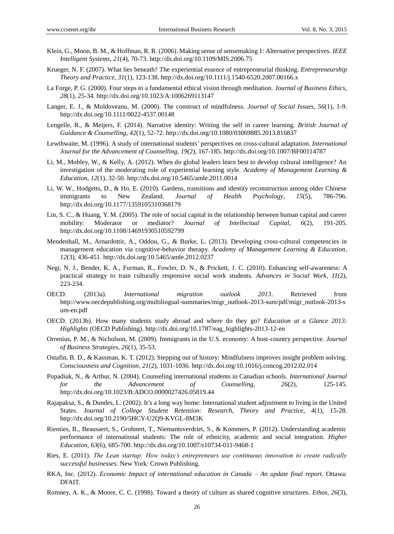- Klein, G., Moon, B. M., & Hoffman, R. R. (2006). Making sense of sensemaking 1: Alternative perspectives. *IEEE Intelligent Systems*, *21*(4), 70-73. http://dx.doi.org/10.1109/MIS.2006.75
- Krueger, N. F. (2007). What lies beneath? The experiential essence of entrepreneurial thinking. *Entrepreneurship Theory and Practice*, *31*(1), 123-138. http://dx.doi.org/10.1111/j.1540-6520.2007.00166.x
- La Forge, P. G. (2000). Four steps to a fundamental ethical vision through meditation. *Journal of Business Ethics*, *28*(1), 25-34. http://dx.doi.org/10.1023/A:1006269113147
- Langer, E. J., & Moldoveanu, M. (2000). The construct of mindfulness. *Journal of Social Issues*, *56*(1), 1-9. http://dx.doi.org/10.1111/0022-4537.00148
- Lengelle, R., & Meijers, F. (2014). Narrative identity: Writing the self in career learning. *British Journal of Guidance & Counselling*, *42*(1), 52-72. http://dx.doi.org/10.1080/03069885.2013.816837
- Lewthwaite, M. (1996). A study of international students' perspectives on cross-cultural adaptation. *International Journal for the Advancement of Counselling*, *19*(2), 167-185. http://dx.doi.org/10.1007/BF00114787
- Li, M., Mobley, W., & Kelly, A. (2012). When do global leaders learn best to develop cultural intelligence? An investigation of the moderating role of experiential learning style. *Academy of Management Learning & Education*, *12*(1), 32-50. http://dx.doi.org/10.5465/amle.2011.0014
- Li, W. W., Hodgetts, D., & Ho, E. (2010). Gardens, transitions and identity reconstruction among older Chinese immigrants to New Zealand. *Journal of Health Psychology*, *15*(5), 786-796. http://dx.doi.org/10.1177/1359105310368179
- Lin, S. C., & Huang, Y. M. (2005). The role of social capital in the relationship between human capital and career mobility: Moderator or mediator? *Journal of Intellectual Capital*, *6*(2), 191-205. http://dx.doi.org/10.1108/14691930510592799
- Mendenhall, M., Arnardottir, A., Oddou, G., & Burke, L. (2013). Developing cross-cultural competencies in management education via cognitive-behavior therapy. *Academy of Management Learning & Education*, *12*(3), 436-451. http://dx.doi.org/10.5465/amle.2012.0237
- Negi, N. J., Bender, K. A., Furman, R., Fowler, D. N., & Prickett, J. C. (2010). Enhancing self-awareness: A practical strategy to train culturally responsive social work students. *Advances in Social Work*, *11*(2), 223-234.
- OECD. (2013a). *International migration outlook 2013*. Retrieved from http://www.oecdepublishing.org/multilingual-summaries/migr\_outlook-2013-sum/pdf/migr\_outlook-2013-s um-en.pdf
- OECD. (2013b). How many students study abroad and where do they go? *Education at a Glance 2013: Highlights* (OECD Publishing). http://dx.doi.org/10.1787/eag\_highlights-2013-12-en
- Orrenius, P. M., & Nicholson, M. (2009). Immigrants in the U.S. economy: A host-country perspective. *Journal of Business Strategies, 26*(1), 35-53.
- Ostafin, B. D., & Kassman, K. T. (2012). Stepping out of history: Mindfulness improves insight problem solving. *Consciousness and Cognition*, *21*(2), 1031-1036. http://dx.doi.org/10.1016/j.concog.2012.02.014
- Popadiuk, N., & Arthur, N. (2004). Counseling international students in Canadian schools. *International Journal for the Advancement of Counselling*, *26*(2), 125-145. http://dx.doi.org/10.1023/B:ADCO.0000027426.05819.44
- Rajapaksa, S., & Dundes, L. (2002). It's a long way home: International student adjustment to living in the United States. *Journal of College Student Retention: Research, Theory and Practice*, *4*(1), 15-28. http://dx.doi.org/10.2190/5HCY-U2Q9-KVGL-8M3K
- Rienties, B., Beausaert, S., Grohnert, T., Niemantsverdriet, S., & Kommers, P. (2012). Understanding academic performance of international students: The role of ethnicity, academic and social integration. *Higher Education*, *63*(6), 685-700. http://dx.doi.org/10.1007/s10734-011-9468-1
- Ries, E. (2011). *The Lean startup: How today"s entrepreneurs use continuous innovation to create radically successful businesses*. New York: Crown Publishing.
- RKA, Inc. (2012). *Economic Impact of international education in Canada – An update final report*. Ottawa: DFAIT.
- Romney, A. K., & Moore, C. C. (1998). Toward a theory of culture as shared cognitive structures. *Ethos*, *26*(3),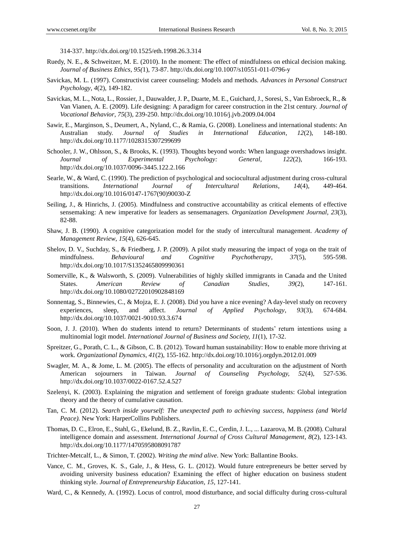314-337. http://dx.doi.org/10.1525/eth.1998.26.3.314

- Ruedy, N. E., & Schweitzer, M. E. (2010). In the moment: The effect of mindfulness on ethical decision making. *Journal of Business Ethics*, *95(*1), 73-87. http://dx.doi.org/10.1007/s10551-011-0796-y
- Savickas, M. L. (1997). Constructivist career counseling: Models and methods. *Advances in Personal Construct Psychology*, *4*(2), 149-182.
- Savickas, M. L., Nota, L., Rossier, J., Dauwalder, J. P., Duarte, M. E., Guichard, J., Soresi, S., Van Esbroeck, R., & Van Vianen, A. E. (2009). Life designing: A paradigm for career construction in the 21st century. *Journal of Vocational Behavior*, *75*(3), 239-250. http://dx.doi.org/10.1016/j.jvb.2009.04.004
- Sawir, E., Marginson, S., Deumert, A., Nyland, C., & Ramia, G. (2008). Loneliness and international students: An Australian study. *Journal of Studies in International Education*, *12*(2), 148-180. http://dx.doi.org/10.1177/1028315307299699
- Schooler, J. W., Ohlsson, S., & Brooks, K. (1993). Thoughts beyond words: When language overshadows insight. *Journal of Experimental Psychology: General*, *122*(2), 166-193. http://dx.doi.org/10.1037/0096-3445.122.2.166
- Searle, W., & Ward, C. (1990). The prediction of psychological and sociocultural adjustment during cross-cultural transitions. *International Journal of Intercultural Relations*, *14*(4), 449-464. http://dx.doi.org/10.1016/0147-1767(90)90030-Z
- Seiling, J., & Hinrichs, J. (2005). Mindfulness and constructive accountability as critical elements of effective sensemaking: A new imperative for leaders as sensemanagers. *Organization Development Journal, 23*(3), 82-88.
- Shaw, J. B. (1990). A cognitive categorization model for the study of intercultural management. *Academy of Management Review*, *15*(4), 626-645.
- Shelov, D. V., Suchday, S., & Friedberg, J. P. (2009). A pilot study measuring the impact of yoga on the trait of mindfulness. *Behavioural and Cognitive Psychotherapy*, *37*(5), 595-598. http://dx.doi.org/10.1017/S1352465809990361
- Somerville, K., & Walsworth, S. (2009). Vulnerabilities of highly skilled immigrants in Canada and the United States. *American Review of Canadian Studies*, *39*(2), 147-161. http://dx.doi.org/10.1080/02722010902848169
- Sonnentag, S., Binnewies, C., & Mojza, E. J. (2008). Did you have a nice evening? A day-level study on recovery experiences, sleep, and affect. *Journal of Applied Psychology*, *93*(3), 674-684. http://dx.doi.org/10.1037/0021-9010.93.3.674
- Soon, J. J. (2010). When do students intend to return? Determinants of students' return intentions using a multinomial logit model. *International Journal of Business and Society, 11*(1), 17-32.
- Spreitzer, G., Porath, C. L., & Gibson, C. B. (2012). Toward human sustainability: How to enable more thriving at work. *Organizational Dynamics*, *41*(2), 155-162. http://dx.doi.org/10.1016/j.orgdyn.2012.01.009
- Swagler, M. A., & Jome, L. M. (2005). The effects of personality and acculturation on the adjustment of North American sojourners in Taiwan. *Journal of Counseling Psychology, 52*(4), 527-536. http://dx.doi.org/10.1037/0022-0167.52.4.527
- Szelenyi, K. (2003). Explaining the migration and settlement of foreign graduate students: Global integration theory and the theory of cumulative causation.
- Tan, C. M. (2012). *Search inside yourself: The unexpected path to achieving success, happiness (and World Peace).* New York: HarperCollins Publishers.
- Thomas, D. C., Elron, E., Stahl, G., Ekelund, B. Z., Ravlin, E. C., Cerdin, J. L., ... Lazarova, M. B. (2008). Cultural intelligence domain and assessment. *International Journal of Cross Cultural Management*, *8*(2), 123-143. http://dx.doi.org/10.1177/1470595808091787
- Trichter-Metcalf, L., & Simon, T. (2002). *Writing the mind alive*. New York: Ballantine Books.
- Vance, C. M., Groves, K. S., Gale, J., & Hess, G. L. (2012). Would future entrepreneurs be better served by avoiding university business education? Examining the effect of higher education on business student thinking style. *Journal of Entrepreneurship Education, 15,* 127-141.
- Ward, C., & Kennedy, A. (1992). Locus of control, mood disturbance, and social difficulty during cross-cultural